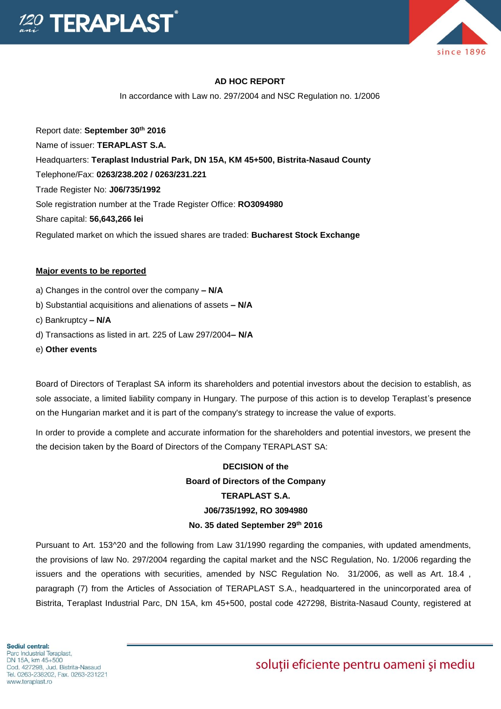

### **AD HOC REPORT**

In accordance with Law no. 297/2004 and NSC Regulation no. 1/2006

Report date: **September 30th 2016** Name of issuer: **TERAPLAST S.A.**  Headquarters: **Teraplast Industrial Park, DN 15A, KM 45+500, Bistrita-Nasaud County** Telephone/Fax: **0263/238.202 / 0263/231.221** Trade Register No: **J06/735/1992** Sole registration number at the Trade Register Office: **RO3094980** Share capital: **56,643,266 lei**  Regulated market on which the issued shares are traded: **Bucharest Stock Exchange**

#### **Major events to be reported**

- a) Changes in the control over the company **– N/A**
- b) Substantial acquisitions and alienations of assets **– N/A**
- c) Bankruptcy **– N/A**
- d) Transactions as listed in art. 225 of Law 297/2004**– N/A**
- e) **Other events**

Board of Directors of Teraplast SA inform its shareholders and potential investors about the decision to establish, as sole associate, a limited liability company in Hungary. The purpose of this action is to develop Teraplast's presence on the Hungarian market and it is part of the company's strategy to increase the value of exports.

In order to provide a complete and accurate information for the shareholders and potential investors, we present the the decision taken by the Board of Directors of the Company TERAPLAST SA:

# **DECISION of the Board of Directors of the Company TERAPLAST S.A. J06/735/1992, RO 3094980 No. 35 dated September 29th 2016**

Pursuant to Art. 153^20 and the following from Law 31/1990 regarding the companies, with updated amendments, the provisions of law No. 297/2004 regarding the capital market and the NSC Regulation, No. 1/2006 regarding the issuers and the operations with securities, amended by NSC Regulation No. 31/2006, as well as Art. 18.4 , paragraph (7) from the Articles of Association of TERAPLAST S.A., headquartered in the unincorporated area of Bistrita, Teraplast Industrial Parc, DN 15A, km 45+500, postal code 427298, Bistrita-Nasaud County, registered at